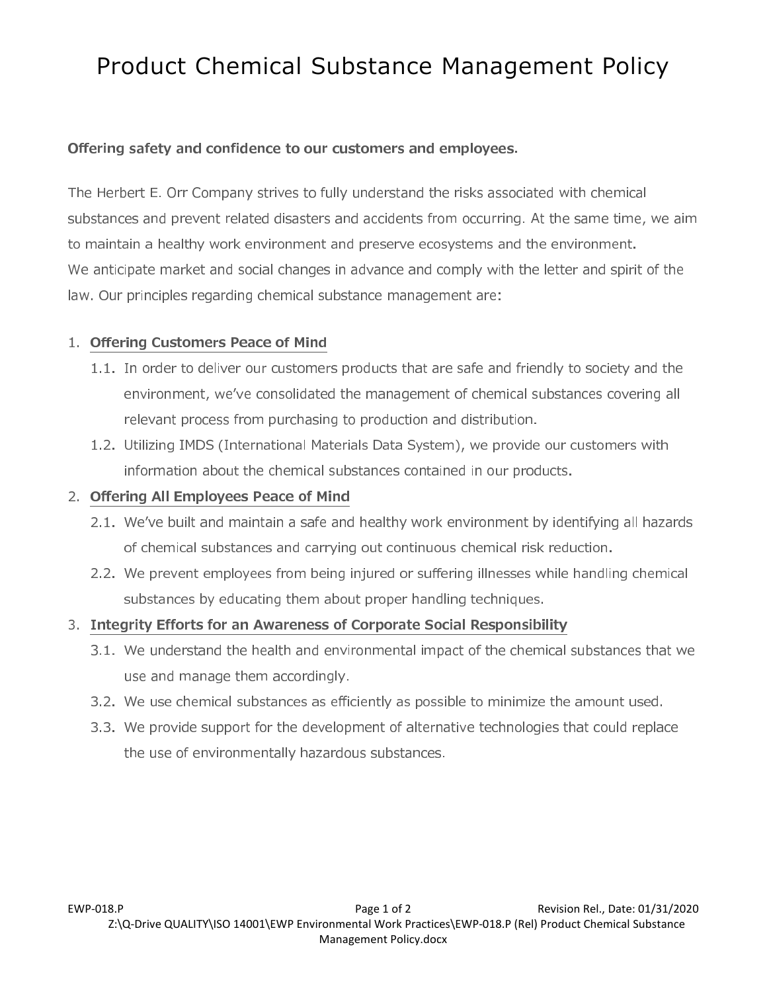# Product Chemical Substance Management Policy

## Offering safety and confidence to our customers and employees.

The Herbert E. Orr Company strives to fully understand the risks associated with chemical substances and prevent related disasters and accidents from occurring. At the same time, we aim to maintain a healthy work environment and preserve ecosystems and the environment. We anticipate market and social changes in advance and comply with the letter and spirit of the law. Our principles regarding chemical substance management are:

# 1. Offering Customers Peace of Mind

- 1.1. In order to deliver our customers products that are safe and friendly to society and the environment, we've consolidated the management of chemical substances covering all relevant process from purchasing to production and distribution.
- 1.2. Utilizing IMDS (International Materials Data System), we provide our customers with information about the chemical substances contained in our products.

# 2. Offering All Employees Peace of Mind

- 2.1. We've built and maintain a safe and healthy work environment by identifying all hazards of chemical substances and carrying out continuous chemical risk reduction.
- 2.2. We prevent employees from being injured or suffering illnesses while handling chemical substances by educating them about proper handling techniques.

## 3. Integrity Efforts for an Awareness of Corporate Social Responsibility

- 3.1. We understand the health and environmental impact of the chemical substances that we use and manage them accordingly.
- 3.2. We use chemical substances as efficiently as possible to minimize the amount used.
- 3.3. We provide support for the development of alternative technologies that could replace the use of environmentally hazardous substances.